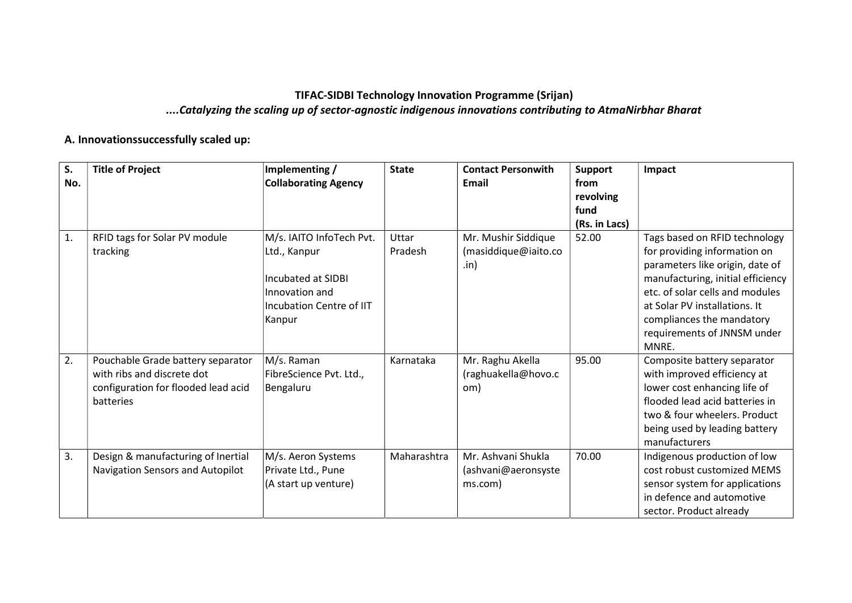## TIFAC-SIDBI Technology Innovation Programme (Srijan) ....Catalyzing the scaling up of sector-agnostic indigenous innovations contributing to AtmaNirbhar Bharat

## A. Innovationssuccessfully scaled up:

| S.  | <b>Title of Project</b>             | Implementing /              | <b>State</b> | <b>Contact Personwith</b> | <b>Support</b> | Impact                                                      |
|-----|-------------------------------------|-----------------------------|--------------|---------------------------|----------------|-------------------------------------------------------------|
| No. |                                     | <b>Collaborating Agency</b> |              | Email                     | from           |                                                             |
|     |                                     |                             |              |                           | revolving      |                                                             |
|     |                                     |                             |              |                           | fund           |                                                             |
|     |                                     |                             |              |                           | (Rs. in Lacs)  |                                                             |
| 1.  | RFID tags for Solar PV module       | M/s. IAITO InfoTech Pvt.    | Uttar        | Mr. Mushir Siddique       | 52.00          | Tags based on RFID technology                               |
|     | tracking                            | Ltd., Kanpur                | Pradesh      | (masiddique@iaito.co      |                | for providing information on                                |
|     |                                     |                             |              | .in)                      |                | parameters like origin, date of                             |
|     |                                     | Incubated at SIDBI          |              |                           |                | manufacturing, initial efficiency                           |
|     |                                     | Innovation and              |              |                           |                | etc. of solar cells and modules                             |
|     |                                     | Incubation Centre of IIT    |              |                           |                | at Solar PV installations. It                               |
|     |                                     | Kanpur                      |              |                           |                | compliances the mandatory                                   |
|     |                                     |                             |              |                           |                | requirements of JNNSM under                                 |
|     |                                     |                             |              |                           |                | MNRE.                                                       |
| 2.  | Pouchable Grade battery separator   | M/s. Raman                  | Karnataka    | Mr. Raghu Akella          | 95.00          | Composite battery separator                                 |
|     | with ribs and discrete dot          | FibreScience Pvt. Ltd.,     |              | (raghuakella@hovo.c       |                | with improved efficiency at                                 |
|     | configuration for flooded lead acid | Bengaluru                   |              | om)                       |                | lower cost enhancing life of                                |
|     | batteries                           |                             |              |                           |                | flooded lead acid batteries in                              |
|     |                                     |                             |              |                           |                | two & four wheelers. Product                                |
|     |                                     |                             |              |                           |                | being used by leading battery<br>manufacturers              |
|     |                                     |                             | Maharashtra  | Mr. Ashvani Shukla        | 70.00          |                                                             |
| 3.  | Design & manufacturing of Inertial  | M/s. Aeron Systems          |              |                           |                | Indigenous production of low                                |
|     | Navigation Sensors and Autopilot    | Private Ltd., Pune          |              | (ashvani@aeronsyste       |                | cost robust customized MEMS                                 |
|     |                                     | (A start up venture)        |              | ms.com)                   |                | sensor system for applications<br>in defence and automotive |
|     |                                     |                             |              |                           |                |                                                             |
|     |                                     |                             |              |                           |                | sector. Product already                                     |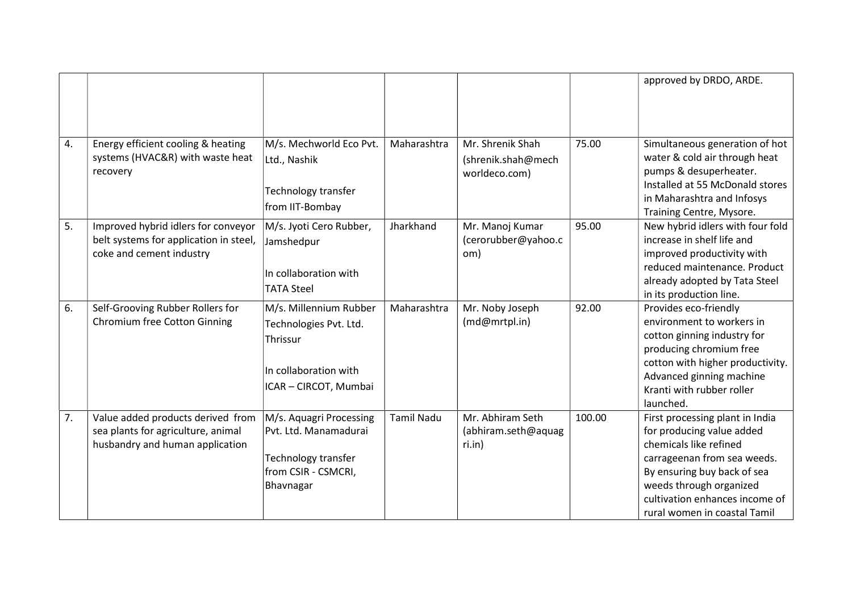|    |                                                                               |                                                  |                   |                                        |        | approved by DRDO, ARDE.                                        |
|----|-------------------------------------------------------------------------------|--------------------------------------------------|-------------------|----------------------------------------|--------|----------------------------------------------------------------|
|    |                                                                               |                                                  |                   |                                        |        |                                                                |
|    |                                                                               |                                                  |                   |                                        |        |                                                                |
| 4. | Energy efficient cooling & heating                                            | M/s. Mechworld Eco Pvt.                          | Maharashtra       | Mr. Shrenik Shah                       | 75.00  | Simultaneous generation of hot                                 |
|    | systems (HVAC&R) with waste heat                                              | Ltd., Nashik                                     |                   | (shrenik.shah@mech                     |        | water & cold air through heat                                  |
|    | recovery                                                                      |                                                  |                   | worldeco.com)                          |        | pumps & desuperheater.                                         |
|    |                                                                               | Technology transfer                              |                   |                                        |        | Installed at 55 McDonald stores                                |
|    |                                                                               | from IIT-Bombay                                  |                   |                                        |        | in Maharashtra and Infosys                                     |
|    |                                                                               |                                                  |                   |                                        |        | Training Centre, Mysore.                                       |
| 5. | Improved hybrid idlers for conveyor<br>belt systems for application in steel, | M/s. Jyoti Cero Rubber,                          | Jharkhand         | Mr. Manoj Kumar<br>(cerorubber@yahoo.c | 95.00  | New hybrid idlers with four fold<br>increase in shelf life and |
|    | coke and cement industry                                                      | Jamshedpur                                       |                   | om)                                    |        | improved productivity with                                     |
|    |                                                                               |                                                  |                   |                                        |        | reduced maintenance. Product                                   |
|    |                                                                               | In collaboration with                            |                   |                                        |        | already adopted by Tata Steel                                  |
|    |                                                                               | <b>TATA Steel</b>                                |                   |                                        |        | in its production line.                                        |
| 6. | Self-Grooving Rubber Rollers for                                              | M/s. Millennium Rubber                           | Maharashtra       | Mr. Noby Joseph                        | 92.00  | Provides eco-friendly                                          |
|    | <b>Chromium free Cotton Ginning</b>                                           | Technologies Pvt. Ltd.                           |                   | (md@mrtpl.in)                          |        | environment to workers in                                      |
|    |                                                                               | Thrissur                                         |                   |                                        |        | cotton ginning industry for                                    |
|    |                                                                               |                                                  |                   |                                        |        | producing chromium free                                        |
|    |                                                                               | In collaboration with                            |                   |                                        |        | cotton with higher productivity.                               |
|    |                                                                               | ICAR - CIRCOT, Mumbai                            |                   |                                        |        | Advanced ginning machine                                       |
|    |                                                                               |                                                  |                   |                                        |        | Kranti with rubber roller                                      |
|    |                                                                               |                                                  |                   |                                        |        | launched.                                                      |
| 7. | Value added products derived from                                             | M/s. Aquagri Processing<br>Pvt. Ltd. Manamadurai | <b>Tamil Nadu</b> | Mr. Abhiram Seth                       | 100.00 | First processing plant in India                                |
|    | sea plants for agriculture, animal<br>husbandry and human application         |                                                  |                   | (abhiram.seth@aquag<br>ri.in)          |        | for producing value added<br>chemicals like refined            |
|    |                                                                               | Technology transfer                              |                   |                                        |        | carrageenan from sea weeds.                                    |
|    |                                                                               | from CSIR - CSMCRI,                              |                   |                                        |        | By ensuring buy back of sea                                    |
|    |                                                                               | Bhavnagar                                        |                   |                                        |        | weeds through organized                                        |
|    |                                                                               |                                                  |                   |                                        |        | cultivation enhances income of                                 |
|    |                                                                               |                                                  |                   |                                        |        | rural women in coastal Tamil                                   |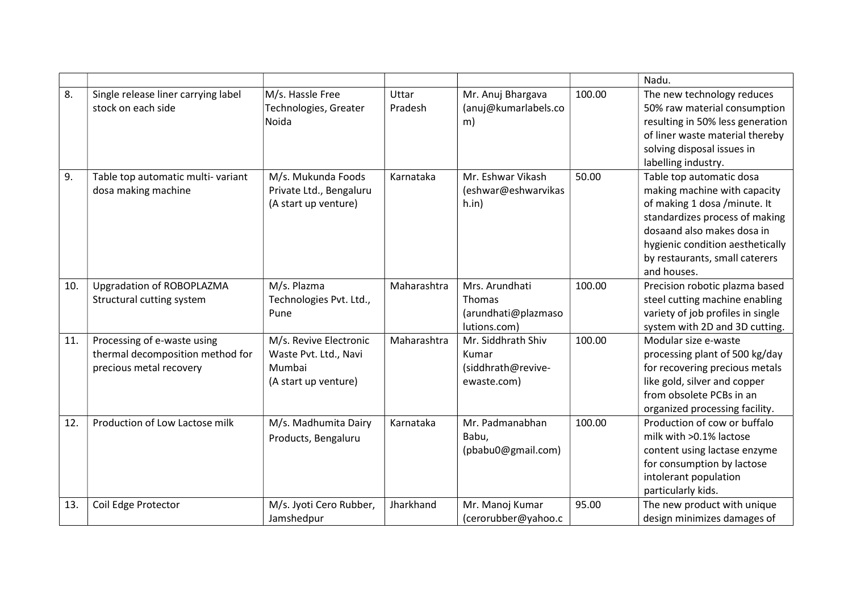|     |                                                                                            |                                                                                   |                  |                                                                        |        | Nadu.                                                                                                                                                                                                                                         |
|-----|--------------------------------------------------------------------------------------------|-----------------------------------------------------------------------------------|------------------|------------------------------------------------------------------------|--------|-----------------------------------------------------------------------------------------------------------------------------------------------------------------------------------------------------------------------------------------------|
| 8.  | Single release liner carrying label<br>stock on each side                                  | M/s. Hassle Free<br>Technologies, Greater<br>Noida                                | Uttar<br>Pradesh | Mr. Anuj Bhargava<br>(anuj@kumarlabels.co<br>m)                        | 100.00 | The new technology reduces<br>50% raw material consumption<br>resulting in 50% less generation<br>of liner waste material thereby<br>solving disposal issues in<br>labelling industry.                                                        |
| 9.  | Table top automatic multi-variant<br>dosa making machine                                   | M/s. Mukunda Foods<br>Private Ltd., Bengaluru<br>(A start up venture)             | Karnataka        | Mr. Eshwar Vikash<br>(eshwar@eshwarvikas<br>h.in)                      | 50.00  | Table top automatic dosa<br>making machine with capacity<br>of making 1 dosa /minute. It<br>standardizes process of making<br>dosaand also makes dosa in<br>hygienic condition aesthetically<br>by restaurants, small caterers<br>and houses. |
| 10. | Upgradation of ROBOPLAZMA<br>Structural cutting system                                     | M/s. Plazma<br>Technologies Pvt. Ltd.,<br>Pune                                    | Maharashtra      | Mrs. Arundhati<br><b>Thomas</b><br>(arundhati@plazmaso<br>lutions.com) | 100.00 | Precision robotic plazma based<br>steel cutting machine enabling<br>variety of job profiles in single<br>system with 2D and 3D cutting.                                                                                                       |
| 11. | Processing of e-waste using<br>thermal decomposition method for<br>precious metal recovery | M/s. Revive Electronic<br>Waste Pvt. Ltd., Navi<br>Mumbai<br>(A start up venture) | Maharashtra      | Mr. Siddhrath Shiv<br>Kumar<br>(siddhrath@revive-<br>ewaste.com)       | 100.00 | Modular size e-waste<br>processing plant of 500 kg/day<br>for recovering precious metals<br>like gold, silver and copper<br>from obsolete PCBs in an<br>organized processing facility.                                                        |
| 12. | Production of Low Lactose milk                                                             | M/s. Madhumita Dairy<br>Products, Bengaluru                                       | Karnataka        | Mr. Padmanabhan<br>Babu,<br>(pbabu0@gmail.com)                         | 100.00 | Production of cow or buffalo<br>milk with >0.1% lactose<br>content using lactase enzyme<br>for consumption by lactose<br>intolerant population<br>particularly kids.                                                                          |
| 13. | Coil Edge Protector                                                                        | M/s. Jyoti Cero Rubber,<br>Jamshedpur                                             | Jharkhand        | Mr. Manoj Kumar<br>(cerorubber@yahoo.c                                 | 95.00  | The new product with unique<br>design minimizes damages of                                                                                                                                                                                    |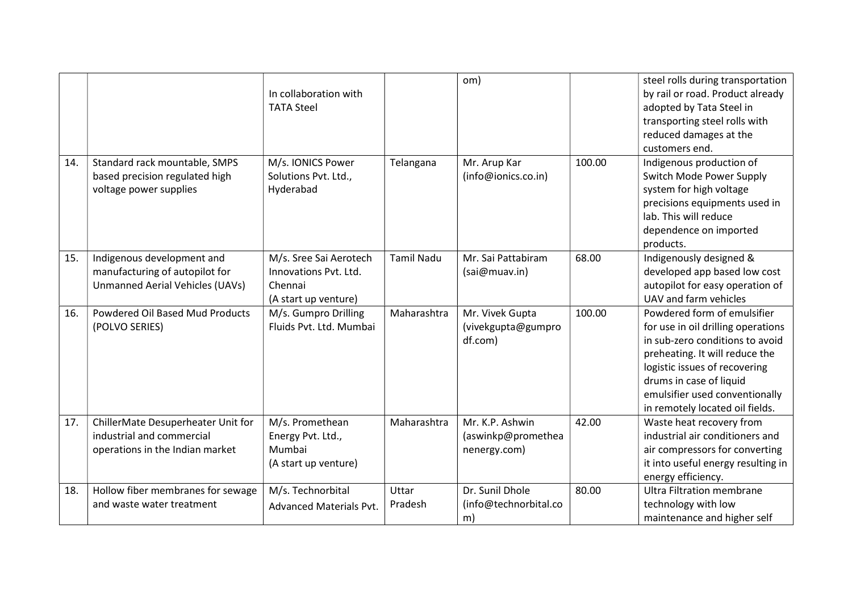|     |                                                                                                    | In collaboration with<br><b>TATA Steel</b>                                         |                   | om)                                                   |        | steel rolls during transportation<br>by rail or road. Product already<br>adopted by Tata Steel in<br>transporting steel rolls with<br>reduced damages at the<br>customers end.                                                                                          |
|-----|----------------------------------------------------------------------------------------------------|------------------------------------------------------------------------------------|-------------------|-------------------------------------------------------|--------|-------------------------------------------------------------------------------------------------------------------------------------------------------------------------------------------------------------------------------------------------------------------------|
| 14. | Standard rack mountable, SMPS<br>based precision regulated high<br>voltage power supplies          | M/s. IONICS Power<br>Solutions Pvt. Ltd.,<br>Hyderabad                             | Telangana         | Mr. Arup Kar<br>(info@ionics.co.in)                   | 100.00 | Indigenous production of<br>Switch Mode Power Supply<br>system for high voltage<br>precisions equipments used in<br>lab. This will reduce<br>dependence on imported<br>products.                                                                                        |
| 15. | Indigenous development and<br>manufacturing of autopilot for<br>Unmanned Aerial Vehicles (UAVs)    | M/s. Sree Sai Aerotech<br>Innovations Pvt. Ltd.<br>Chennai<br>(A start up venture) | <b>Tamil Nadu</b> | Mr. Sai Pattabiram<br>(sai@muav.in)                   | 68.00  | Indigenously designed &<br>developed app based low cost<br>autopilot for easy operation of<br>UAV and farm vehicles                                                                                                                                                     |
| 16. | <b>Powdered Oil Based Mud Products</b><br>(POLVO SERIES)                                           | M/s. Gumpro Drilling<br>Fluids Pvt. Ltd. Mumbai                                    | Maharashtra       | Mr. Vivek Gupta<br>(vivekgupta@gumpro<br>df.com)      | 100.00 | Powdered form of emulsifier<br>for use in oil drilling operations<br>in sub-zero conditions to avoid<br>preheating. It will reduce the<br>logistic issues of recovering<br>drums in case of liquid<br>emulsifier used conventionally<br>in remotely located oil fields. |
| 17. | ChillerMate Desuperheater Unit for<br>industrial and commercial<br>operations in the Indian market | M/s. Promethean<br>Energy Pvt. Ltd.,<br>Mumbai<br>(A start up venture)             | Maharashtra       | Mr. K.P. Ashwin<br>(aswinkp@promethea<br>nenergy.com) | 42.00  | Waste heat recovery from<br>industrial air conditioners and<br>air compressors for converting<br>it into useful energy resulting in<br>energy efficiency.                                                                                                               |
| 18. | Hollow fiber membranes for sewage<br>and waste water treatment                                     | M/s. Technorbital<br><b>Advanced Materials Pvt.</b>                                | Uttar<br>Pradesh  | Dr. Sunil Dhole<br>(info@technorbital.co<br>m)        | 80.00  | Ultra Filtration membrane<br>technology with low<br>maintenance and higher self                                                                                                                                                                                         |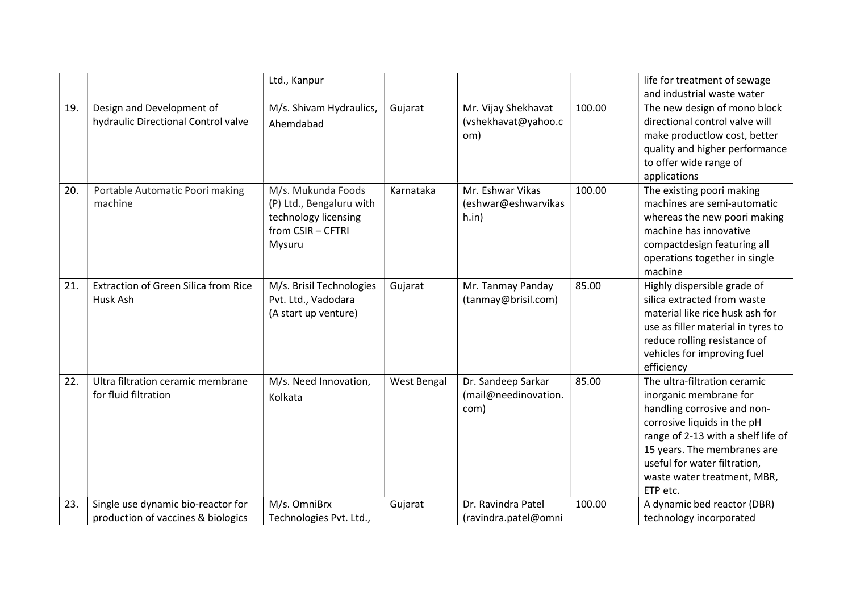|     |                                             | Ltd., Kanpur             |                    |                      |        | life for treatment of sewage       |
|-----|---------------------------------------------|--------------------------|--------------------|----------------------|--------|------------------------------------|
|     |                                             |                          |                    |                      |        | and industrial waste water         |
| 19. | Design and Development of                   | M/s. Shivam Hydraulics,  | Gujarat            | Mr. Vijay Shekhavat  | 100.00 | The new design of mono block       |
|     | hydraulic Directional Control valve         | Ahemdabad                |                    | (vshekhavat@yahoo.c  |        | directional control valve will     |
|     |                                             |                          |                    | om)                  |        | make productlow cost, better       |
|     |                                             |                          |                    |                      |        | quality and higher performance     |
|     |                                             |                          |                    |                      |        | to offer wide range of             |
|     |                                             |                          |                    |                      |        | applications                       |
| 20. | Portable Automatic Poori making             | M/s. Mukunda Foods       | Karnataka          | Mr. Eshwar Vikas     | 100.00 | The existing poori making          |
|     | machine                                     | (P) Ltd., Bengaluru with |                    | (eshwar@eshwarvikas  |        | machines are semi-automatic        |
|     |                                             | technology licensing     |                    | h.in)                |        | whereas the new poori making       |
|     |                                             | from CSIR - CFTRI        |                    |                      |        | machine has innovative             |
|     |                                             | Mysuru                   |                    |                      |        | compactdesign featuring all        |
|     |                                             |                          |                    |                      |        | operations together in single      |
|     |                                             |                          |                    |                      |        | machine                            |
| 21. | <b>Extraction of Green Silica from Rice</b> | M/s. Brisil Technologies | Gujarat            | Mr. Tanmay Panday    | 85.00  | Highly dispersible grade of        |
|     | Husk Ash                                    | Pvt. Ltd., Vadodara      |                    | (tanmay@brisil.com)  |        | silica extracted from waste        |
|     |                                             | (A start up venture)     |                    |                      |        | material like rice husk ash for    |
|     |                                             |                          |                    |                      |        | use as filler material in tyres to |
|     |                                             |                          |                    |                      |        | reduce rolling resistance of       |
|     |                                             |                          |                    |                      |        | vehicles for improving fuel        |
|     |                                             |                          |                    |                      |        | efficiency                         |
| 22. | Ultra filtration ceramic membrane           | M/s. Need Innovation,    | <b>West Bengal</b> | Dr. Sandeep Sarkar   | 85.00  | The ultra-filtration ceramic       |
|     | for fluid filtration                        | Kolkata                  |                    | (mail@needinovation. |        | inorganic membrane for             |
|     |                                             |                          |                    | com)                 |        | handling corrosive and non-        |
|     |                                             |                          |                    |                      |        | corrosive liquids in the pH        |
|     |                                             |                          |                    |                      |        | range of 2-13 with a shelf life of |
|     |                                             |                          |                    |                      |        | 15 years. The membranes are        |
|     |                                             |                          |                    |                      |        | useful for water filtration,       |
|     |                                             |                          |                    |                      |        | waste water treatment, MBR,        |
|     |                                             |                          |                    |                      |        | ETP etc.                           |
| 23. | Single use dynamic bio-reactor for          | M/s. OmniBrx             | Gujarat            | Dr. Ravindra Patel   | 100.00 | A dynamic bed reactor (DBR)        |
|     | production of vaccines & biologics          | Technologies Pvt. Ltd.,  |                    | (ravindra.patel@omni |        | technology incorporated            |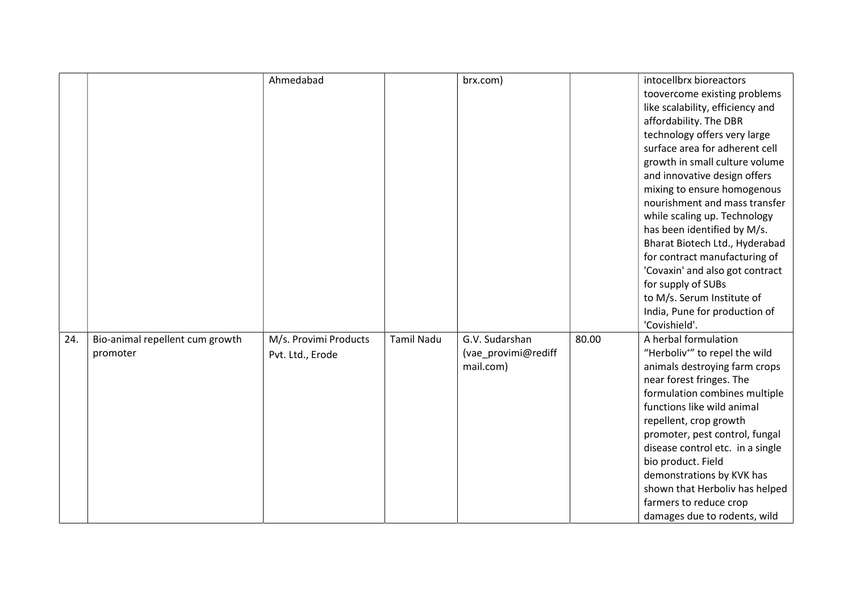|     |                                 | Ahmedabad             |                   | brx.com)            |       | intocellbrx bioreactors                   |
|-----|---------------------------------|-----------------------|-------------------|---------------------|-------|-------------------------------------------|
|     |                                 |                       |                   |                     |       | toovercome existing problems              |
|     |                                 |                       |                   |                     |       | like scalability, efficiency and          |
|     |                                 |                       |                   |                     |       | affordability. The DBR                    |
|     |                                 |                       |                   |                     |       | technology offers very large              |
|     |                                 |                       |                   |                     |       | surface area for adherent cell            |
|     |                                 |                       |                   |                     |       | growth in small culture volume            |
|     |                                 |                       |                   |                     |       | and innovative design offers              |
|     |                                 |                       |                   |                     |       | mixing to ensure homogenous               |
|     |                                 |                       |                   |                     |       | nourishment and mass transfer             |
|     |                                 |                       |                   |                     |       | while scaling up. Technology              |
|     |                                 |                       |                   |                     |       | has been identified by M/s.               |
|     |                                 |                       |                   |                     |       | Bharat Biotech Ltd., Hyderabad            |
|     |                                 |                       |                   |                     |       | for contract manufacturing of             |
|     |                                 |                       |                   |                     |       | 'Covaxin' and also got contract           |
|     |                                 |                       |                   |                     |       | for supply of SUBs                        |
|     |                                 |                       |                   |                     |       | to M/s. Serum Institute of                |
|     |                                 |                       |                   |                     |       | India, Pune for production of             |
|     |                                 |                       |                   |                     |       | 'Covishield'.                             |
| 24. | Bio-animal repellent cum growth | M/s. Provimi Products | <b>Tamil Nadu</b> | G.V. Sudarshan      | 80.00 | A herbal formulation                      |
|     | promoter                        | Pvt. Ltd., Erode      |                   | (vae_provimi@rediff |       | "Herboliv <sup>+"</sup> to repel the wild |
|     |                                 |                       |                   | mail.com)           |       | animals destroying farm crops             |
|     |                                 |                       |                   |                     |       | near forest fringes. The                  |
|     |                                 |                       |                   |                     |       | formulation combines multiple             |
|     |                                 |                       |                   |                     |       | functions like wild animal                |
|     |                                 |                       |                   |                     |       | repellent, crop growth                    |
|     |                                 |                       |                   |                     |       | promoter, pest control, fungal            |
|     |                                 |                       |                   |                     |       | disease control etc. in a single          |
|     |                                 |                       |                   |                     |       | bio product. Field                        |
|     |                                 |                       |                   |                     |       | demonstrations by KVK has                 |
|     |                                 |                       |                   |                     |       | shown that Herboliv has helped            |
|     |                                 |                       |                   |                     |       | farmers to reduce crop                    |
|     |                                 |                       |                   |                     |       | damages due to rodents, wild              |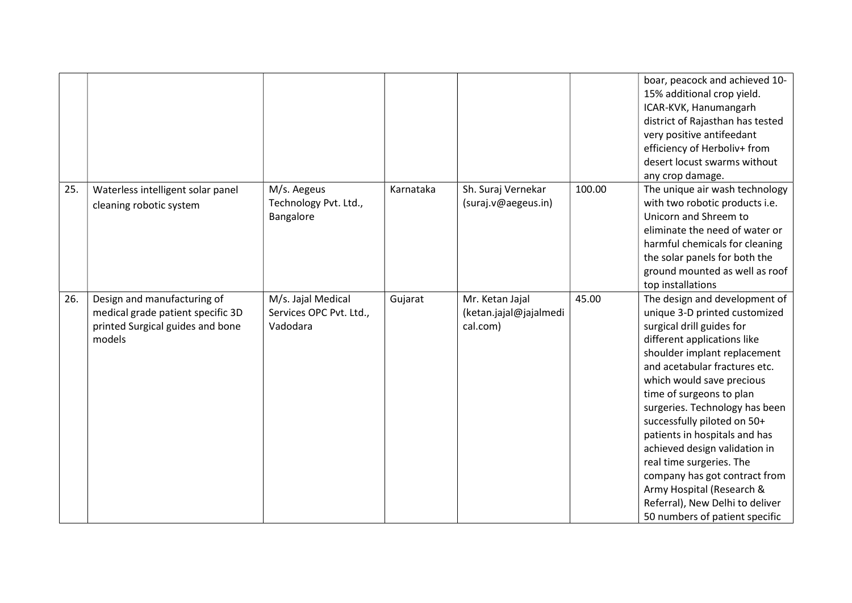|     |                                                                                                                |                                                           |           |                                                       |        | boar, peacock and achieved 10-<br>15% additional crop yield.<br>ICAR-KVK, Hanumangarh<br>district of Rajasthan has tested<br>very positive antifeedant<br>efficiency of Herboliv+ from<br>desert locust swarms without<br>any crop damage.                                                                                                                                                                                                                                                                                                             |
|-----|----------------------------------------------------------------------------------------------------------------|-----------------------------------------------------------|-----------|-------------------------------------------------------|--------|--------------------------------------------------------------------------------------------------------------------------------------------------------------------------------------------------------------------------------------------------------------------------------------------------------------------------------------------------------------------------------------------------------------------------------------------------------------------------------------------------------------------------------------------------------|
| 25. | Waterless intelligent solar panel<br>cleaning robotic system                                                   | M/s. Aegeus<br>Technology Pvt. Ltd.,<br>Bangalore         | Karnataka | Sh. Suraj Vernekar<br>(suraj.v@aegeus.in)             | 100.00 | The unique air wash technology<br>with two robotic products i.e.<br>Unicorn and Shreem to<br>eliminate the need of water or<br>harmful chemicals for cleaning<br>the solar panels for both the<br>ground mounted as well as roof<br>top installations                                                                                                                                                                                                                                                                                                  |
| 26. | Design and manufacturing of<br>medical grade patient specific 3D<br>printed Surgical guides and bone<br>models | M/s. Jajal Medical<br>Services OPC Pvt. Ltd.,<br>Vadodara | Gujarat   | Mr. Ketan Jajal<br>(ketan.jajal@jajalmedi<br>cal.com) | 45.00  | The design and development of<br>unique 3-D printed customized<br>surgical drill guides for<br>different applications like<br>shoulder implant replacement<br>and acetabular fractures etc.<br>which would save precious<br>time of surgeons to plan<br>surgeries. Technology has been<br>successfully piloted on 50+<br>patients in hospitals and has<br>achieved design validation in<br>real time surgeries. The<br>company has got contract from<br>Army Hospital (Research &<br>Referral), New Delhi to deliver<br>50 numbers of patient specific |